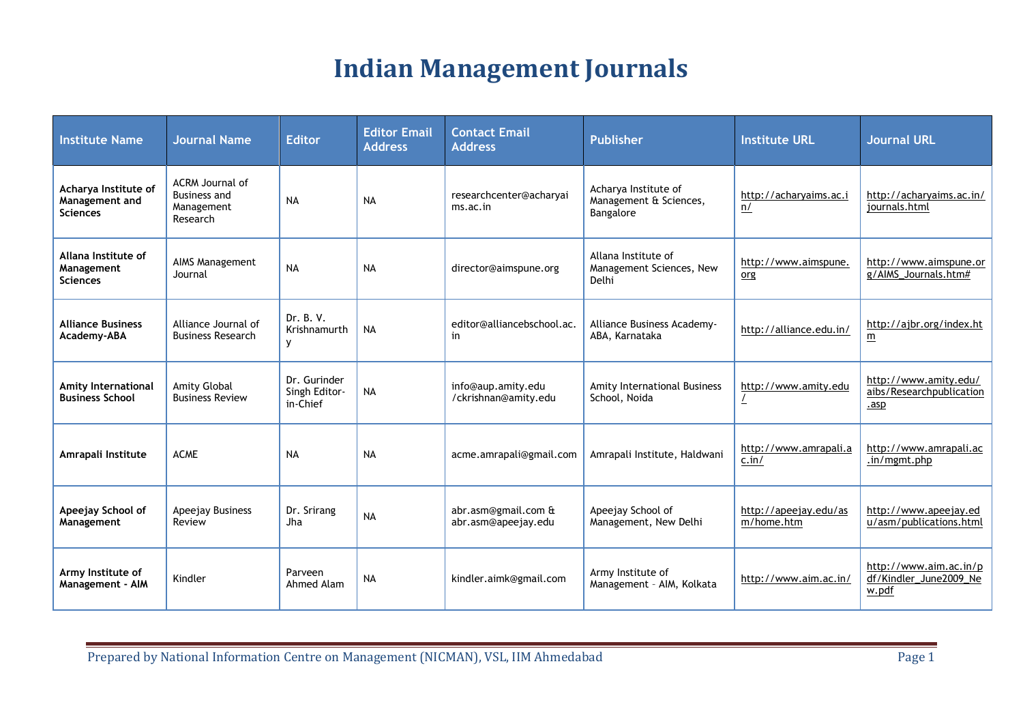## **Indian Management Journals**

| <b>Institute Name</b>                                     | <b>Journal Name</b>                                              | <b>Editor</b>                             | <b>Editor Email</b><br><b>Address</b> | <b>Contact Email</b><br><b>Address</b>     | <b>Publisher</b>                                            | <b>Institute URL</b>                | <b>Journal URL</b>                                        |
|-----------------------------------------------------------|------------------------------------------------------------------|-------------------------------------------|---------------------------------------|--------------------------------------------|-------------------------------------------------------------|-------------------------------------|-----------------------------------------------------------|
| Acharya Institute of<br>Management and<br><b>Sciences</b> | ACRM Journal of<br><b>Business and</b><br>Management<br>Research | <b>NA</b>                                 | <b>NA</b>                             | researchcenter@acharyai<br>ms.ac.in        | Acharya Institute of<br>Management & Sciences,<br>Bangalore | http://acharyaims.ac.i<br>n/        | http://acharyaims.ac.in/<br>journals.html                 |
| Allana Institute of<br>Management<br><b>Sciences</b>      | AIMS Management<br>Journal                                       | <b>NA</b>                                 | <b>NA</b>                             | director@aimspune.org                      | Allana Institute of<br>Management Sciences, New<br>Delhi    | http://www.aimspune.<br>org         | http://www.aimspune.or<br>g/AIMS_Journals.htm#            |
| <b>Alliance Business</b><br>Academy-ABA                   | Alliance Journal of<br><b>Business Research</b>                  | Dr. B. V.<br>Krishnamurth<br>У            | <b>NA</b>                             | editor@alliancebschool.ac.<br>in           | Alliance Business Academy-<br>ABA, Karnataka                | http://alliance.edu.in/             | http://ajbr.org/index.ht<br>m                             |
| Amity International<br><b>Business School</b>             | Amity Global<br><b>Business Review</b>                           | Dr. Gurinder<br>Singh Editor-<br>in-Chief | <b>NA</b>                             | info@aup.amity.edu<br>/ckrishnan@amity.edu | Amity International Business<br>School, Noida               | http://www.amity.edu<br>L           | http://www.amity.edu/<br>aibs/Researchpublication<br>.asp |
| Amrapali Institute                                        | <b>ACME</b>                                                      | <b>NA</b>                                 | <b>NA</b>                             | acme.amrapali@gmail.com                    | Amrapali Institute, Haldwani                                | http://www.amrapali.a<br>c.in/      | http://www.amrapali.ac<br>.in/mgmt.php                    |
| Apeejay School of<br>Management                           | Apeejay Business<br>Review                                       | Dr. Srirang<br>Jha                        | <b>NA</b>                             | abr.asm@gmail.com &<br>abr.asm@apeejay.edu | Apeejay School of<br>Management, New Delhi                  | http://apeejay.edu/as<br>m/home.htm | http://www.apeejay.ed<br>u/asm/publications.html          |
| Army Institute of<br><b>Management - AIM</b>              | Kindler                                                          | Parveen<br>Ahmed Alam                     | <b>NA</b>                             | kindler.aimk@gmail.com                     | Army Institute of<br>Management - AIM, Kolkata              | http://www.aim.ac.in/               | http://www.aim.ac.in/p<br>df/Kindler_June2009_Ne<br>w.pdf |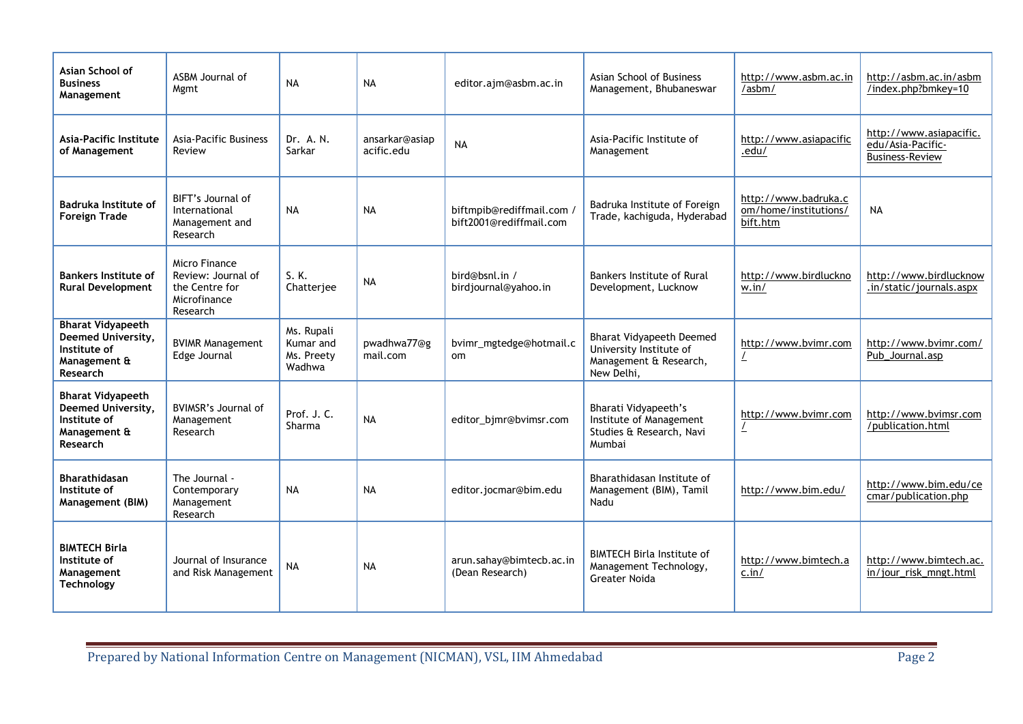| Asian School of<br><b>Business</b><br>Management                                           | ASBM Journal of<br>Mgmt                                                           | <b>NA</b>                                       | <b>NA</b>                    | editor.ajm@asbm.ac.in                                | Asian School of Business<br>Management, Bhubaneswar                                                | http://www.asbm.ac.in<br>/asbm/                           | http://asbm.ac.in/asbm<br>/index.php?bmkey=10                          |
|--------------------------------------------------------------------------------------------|-----------------------------------------------------------------------------------|-------------------------------------------------|------------------------------|------------------------------------------------------|----------------------------------------------------------------------------------------------------|-----------------------------------------------------------|------------------------------------------------------------------------|
| Asia-Pacific Institute<br>of Management                                                    | <b>Asia-Pacific Business</b><br>Review                                            | Dr. A. N.<br>Sarkar                             | ansarkar@asiap<br>acific.edu | <b>NA</b>                                            | Asia-Pacific Institute of<br>Management                                                            | http://www.asiapacific<br>.edu/                           | http://www.asiapacific.<br>edu/Asia-Pacific-<br><b>Business-Review</b> |
| Badruka Institute of<br><b>Foreign Trade</b>                                               | BIFT's Journal of<br>International<br>Management and<br>Research                  | <b>NA</b>                                       | <b>NA</b>                    | biftmpib@rediffmail.com /<br>bift2001@rediffmail.com | Badruka Institute of Foreign<br>Trade, kachiguda, Hyderabad                                        | http://www.badruka.c<br>om/home/institutions/<br>bift.htm | <b>NA</b>                                                              |
| <b>Bankers Institute of</b><br><b>Rural Development</b>                                    | Micro Finance<br>Review: Journal of<br>the Centre for<br>Microfinance<br>Research | S. K.<br>Chatterjee                             | <b>NA</b>                    | bird@bsnl.in /<br>birdjournal@yahoo.in               | Bankers Institute of Rural<br>Development, Lucknow                                                 | http://www.birdluckno<br>w.in/                            | http://www.birdlucknow<br>.in/static/journals.aspx                     |
| <b>Bharat Vidyapeeth</b><br>Deemed University,<br>Institute of<br>Management &<br>Research | <b>BVIMR Management</b><br>Edge Journal                                           | Ms. Rupali<br>Kumar and<br>Ms. Preety<br>Wadhwa | pwadhwa77@g<br>mail.com      | bvimr_mgtedge@hotmail.c<br><sub>om</sub>             | <b>Bharat Vidyapeeth Deemed</b><br>University Institute of<br>Management & Research,<br>New Delhi, | http://www.bvimr.com                                      | http://www.bvimr.com/<br>Pub_Journal.asp                               |
| <b>Bharat Vidyapeeth</b><br>Deemed University,<br>Institute of<br>Management &<br>Research | BVIMSR's Journal of<br>Management<br>Research                                     | Prof. J. C.<br>Sharma                           | <b>NA</b>                    | editor_bjmr@bvimsr.com                               | <b>Bharati Vidyapeeth's</b><br>Institute of Management<br>Studies & Research, Navi<br>Mumbai       | http://www.bvimr.com<br>$\overline{\mathcal{L}}$          | http://www.bvimsr.com<br>/publication.html                             |
| <b>Bharathidasan</b><br>Institute of<br>Management (BIM)                                   | The Journal -<br>Contemporary<br>Management<br>Research                           | <b>NA</b>                                       | <b>NA</b>                    | editor.jocmar@bim.edu                                | Bharathidasan Institute of<br>Management (BIM), Tamil<br>Nadu                                      | http://www.bim.edu/                                       | http://www.bim.edu/ce<br>cmar/publication.php                          |
| <b>BIMTECH Birla</b><br>Institute of<br>Management<br>Technology                           | Journal of Insurance<br>and Risk Management                                       | <b>NA</b>                                       | <b>NA</b>                    | arun.sahay@bimtecb.ac.in<br>(Dean Research)          | <b>BIMTECH Birla Institute of</b><br>Management Technology,<br><b>Greater Noida</b>                | http://www.bimtech.a<br>c.in/                             | http://www.bimtech.ac.<br>in/jour_risk_mngt.html                       |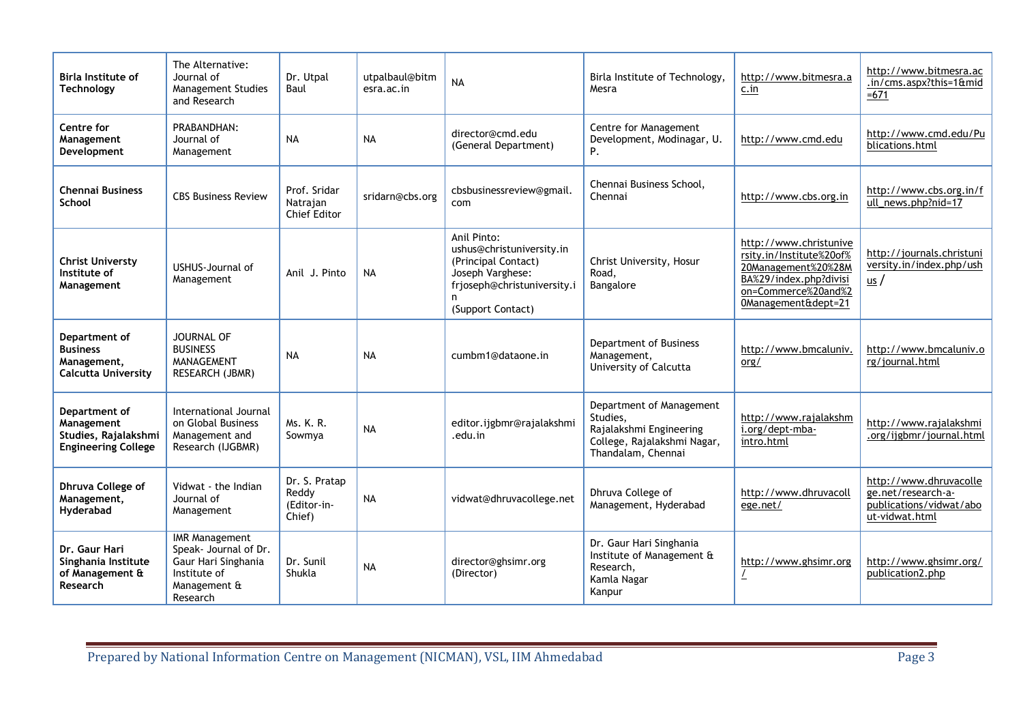| <b>Birla Institute of</b><br>Technology                                           | The Alternative:<br>Journal of<br><b>Management Studies</b><br>and Research                                       | Dr. Utpal<br>Baul                               | utpalbaul@bitm<br>esra.ac.in | <b>NA</b>                                                                                                                                    | Birla Institute of Technology,<br>Mesra                                                                              | http://www.bitmesra.a<br>c.in                                                                                                                     | http://www.bitmesra.ac<br>.in/cms.aspx?this=1∣<br>$=671$                                  |
|-----------------------------------------------------------------------------------|-------------------------------------------------------------------------------------------------------------------|-------------------------------------------------|------------------------------|----------------------------------------------------------------------------------------------------------------------------------------------|----------------------------------------------------------------------------------------------------------------------|---------------------------------------------------------------------------------------------------------------------------------------------------|-------------------------------------------------------------------------------------------|
| <b>Centre for</b><br>Management<br>Development                                    | PRABANDHAN:<br>Journal of<br>Management                                                                           | <b>NA</b>                                       | <b>NA</b>                    | director@cmd.edu<br>(General Department)                                                                                                     | Centre for Management<br>Development, Modinagar, U.<br>P.                                                            | http://www.cmd.edu                                                                                                                                | http://www.cmd.edu/Pu<br>blications.html                                                  |
| <b>Chennai Business</b><br>School                                                 | <b>CBS Business Review</b>                                                                                        | Prof. Sridar<br>Natraian<br><b>Chief Editor</b> | sridarn@cbs.org              | cbsbusinessreview@gmail.<br>com                                                                                                              | Chennai Business School,<br>Chennai                                                                                  | http://www.cbs.org.in                                                                                                                             | http://www.cbs.org.in/f<br>ull news.php?nid=17                                            |
| <b>Christ Universty</b><br>Institute of<br>Management                             | USHUS-Journal of<br>Management                                                                                    | Anil J. Pinto                                   | <b>NA</b>                    | Anil Pinto:<br>ushus@christuniversity.in<br>(Principal Contact)<br>Joseph Varghese:<br>frjoseph@christuniversity.i<br>n<br>(Support Contact) | Christ University, Hosur<br>Road.<br>Bangalore                                                                       | http://www.christunive<br>rsity.in/Institute%20of%<br>20Management%20%28M<br>BA%29/index.php?divisi<br>on=Commerce%20and%2<br>0Management&dept=21 | http://journals.christuni<br>versity.in/index.php/ush<br>$s$                              |
| Department of<br><b>Business</b><br>Management,<br>Calcutta University            | JOURNAL OF<br><b>BUSINESS</b><br>MANAGEMENT<br>RESEARCH (JBMR)                                                    | <b>NA</b>                                       | <b>NA</b>                    | cumbm1@dataone.in                                                                                                                            | Department of Business<br>Management,<br>University of Calcutta                                                      | http://www.bmcaluniv.<br>org/                                                                                                                     | http://www.bmcaluniv.o<br>rg/journal.html                                                 |
| Department of<br>Management<br>Studies, Rajalakshmi<br><b>Engineering College</b> | International Journal<br>on Global Business<br>Management and<br>Research (IJGBMR)                                | Ms. K. R.<br>Sowmya                             | <b>NA</b>                    | editor.ijgbmr@rajalakshmi<br>.edu.in                                                                                                         | Department of Management<br>Studies,<br>Rajalakshmi Engineering<br>College, Rajalakshmi Nagar,<br>Thandalam, Chennai | http://www.rajalakshm<br>i.org/dept-mba-<br>intro.html                                                                                            | http://www.rajalakshmi<br>.org/ijgbmr/journal.html                                        |
| <b>Dhruva College of</b><br>Management,<br>Hyderabad                              | Vidwat - the Indian<br>Journal of<br>Management                                                                   | Dr. S. Pratap<br>Reddy<br>(Editor-in-<br>Chief) | <b>NA</b>                    | vidwat@dhruvacollege.net                                                                                                                     | Dhruva College of<br>Management, Hyderabad                                                                           | http://www.dhruvacoll<br>ege.net/                                                                                                                 | http://www.dhruvacolle<br>ge.net/research-a-<br>publications/vidwat/abo<br>ut-vidwat.html |
| Dr. Gaur Hari<br>Singhania Institute<br>of Management &<br>Research               | <b>IMR Management</b><br>Speak- Journal of Dr.<br>Gaur Hari Singhania<br>Institute of<br>Management &<br>Research | Dr. Sunil<br>Shukla                             | <b>NA</b>                    | director@ghsimr.org<br>(Director)                                                                                                            | Dr. Gaur Hari Singhania<br>Institute of Management &<br>Research.<br>Kamla Nagar<br>Kanpur                           | http://www.ghsimr.org                                                                                                                             | http://www.ghsimr.org/<br>publication2.php                                                |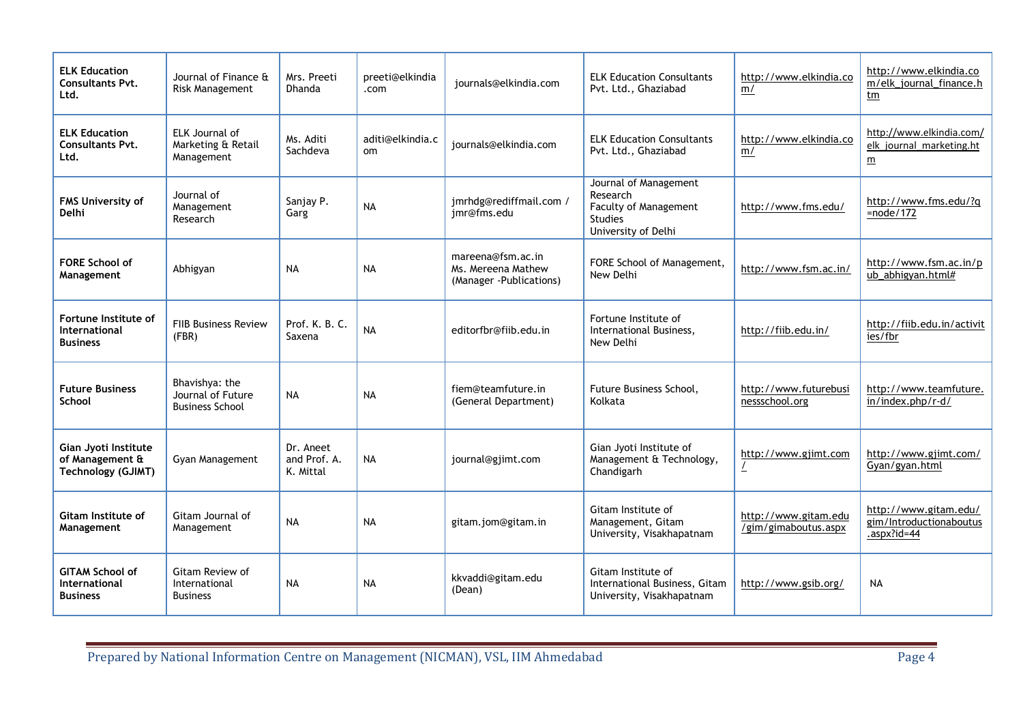| <b>ELK Education</b><br><b>Consultants Pvt.</b><br>Ltd.              | Journal of Finance &<br><b>Risk Management</b>                | Mrs. Preeti<br>Dhanda                  | preeti@elkindia<br>.com | journals@elkindia.com                                               | <b>ELK Education Consultants</b><br>Pvt. Ltd., Ghaziabad                                                   | http://www.elkindia.co<br>m/                 | http://www.elkindia.co<br>m/elk_journal_finance.h<br><u>tm</u>          |
|----------------------------------------------------------------------|---------------------------------------------------------------|----------------------------------------|-------------------------|---------------------------------------------------------------------|------------------------------------------------------------------------------------------------------------|----------------------------------------------|-------------------------------------------------------------------------|
| <b>ELK Education</b><br><b>Consultants Pvt.</b><br>Ltd.              | ELK Journal of<br>Marketing & Retail<br>Management            | Ms. Aditi<br>Sachdeva                  | aditi@elkindia.c<br>om  | journals@elkindia.com                                               | <b>ELK Education Consultants</b><br>Pvt. Ltd., Ghaziabad                                                   | http://www.elkindia.co<br>m/                 | http://www.elkindia.com/<br>elk journal marketing.ht<br>$\underline{m}$ |
| <b>FMS University of</b><br>Delhi                                    | Journal of<br>Management<br>Research                          | Sanjay P.<br>Garg                      | <b>NA</b>               | jmrhdg@rediffmail.com /<br>jmr@fms.edu                              | Journal of Management<br>Research<br><b>Faculty of Management</b><br><b>Studies</b><br>University of Delhi | http://www.fms.edu/                          | http://www.fms.edu/?q<br>$=$ node/172                                   |
| <b>FORE School of</b><br>Management                                  | Abhigyan                                                      | <b>NA</b>                              | <b>NA</b>               | mareena@fsm.ac.in<br>Ms. Mereena Mathew<br>(Manager - Publications) | FORE School of Management,<br>New Delhi                                                                    | http://www.fsm.ac.in/                        | http://www.fsm.ac.in/p<br>ub_abhigyan.html#                             |
| Fortune Institute of<br>International<br><b>Business</b>             | <b>FIIB Business Review</b><br>(FBR)                          | Prof. K. B. C.<br>Saxena               | <b>NA</b>               | editorfbr@fiib.edu.in                                               | Fortune Institute of<br>International Business,<br>New Delhi                                               | http://fiib.edu.in/                          | http://fiib.edu.in/activit<br>ies/fbr                                   |
| <b>Future Business</b><br>School                                     | Bhavishya: the<br>Journal of Future<br><b>Business School</b> | <b>NA</b>                              | <b>NA</b>               | fiem@teamfuture.in<br>(General Department)                          | Future Business School,<br>Kolkata                                                                         | http://www.futurebusi<br>nessschool.org      | http://www.teamfuture.<br>in/index.php/r-d/                             |
| Gian Jyoti Institute<br>of Management &<br><b>Technology (GJIMT)</b> | Gyan Management                                               | Dr. Aneet<br>and Prof. A.<br>K. Mittal | <b>NA</b>               | journal@gjimt.com                                                   | Gian Jyoti Institute of<br>Management & Technology,<br>Chandigarh                                          | http://www.gjimt.com                         | http://www.gjimt.com/<br>Gyan/gyan.html                                 |
| Gitam Institute of<br>Management                                     | Gitam Journal of<br>Management                                | <b>NA</b>                              | <b>NA</b>               | gitam.jom@gitam.in                                                  | Gitam Institute of<br>Management, Gitam<br>University, Visakhapatnam                                       | http://www.gitam.edu<br>/gim/gimaboutus.aspx | http://www.gitam.edu/<br>gim/Introductionaboutus<br>.aspx?id=44         |
| <b>GITAM School of</b><br><b>International</b><br><b>Business</b>    | Gitam Review of<br>International<br><b>Business</b>           | <b>NA</b>                              | <b>NA</b>               | kkvaddi@gitam.edu<br>(Dean)                                         | Gitam Institute of<br>International Business, Gitam<br>University, Visakhapatnam                           | http://www.gsib.org/                         | <b>NA</b>                                                               |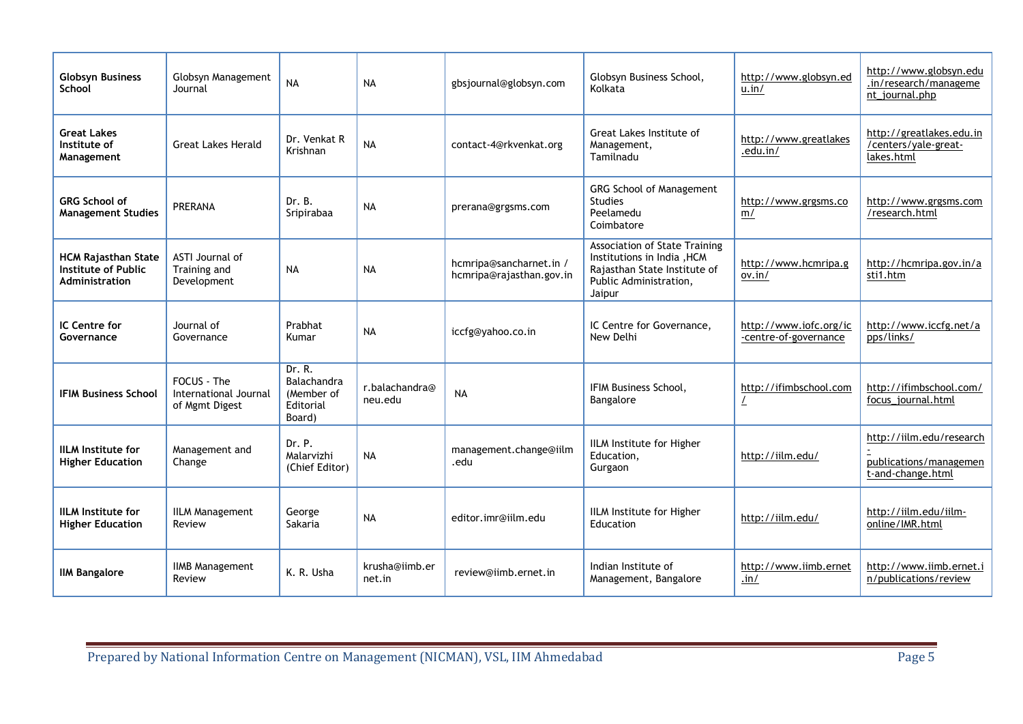| <b>Globsyn Business</b><br>School                                          | Globsyn Management<br>Journal                          | <b>NA</b>                                                  | <b>NA</b>                             | gbsjournal@globsyn.com                              | Globsyn Business School,<br>Kolkata                                                                                                     | http://www.globsyn.ed<br>u.in/                  | http://www.globsyn.edu<br>.in/research/manageme<br>nt_journal.php       |
|----------------------------------------------------------------------------|--------------------------------------------------------|------------------------------------------------------------|---------------------------------------|-----------------------------------------------------|-----------------------------------------------------------------------------------------------------------------------------------------|-------------------------------------------------|-------------------------------------------------------------------------|
| <b>Great Lakes</b><br>Institute of<br>Management                           | <b>Great Lakes Herald</b>                              | Dr. Venkat R<br>Krishnan                                   | <b>NA</b>                             | contact-4@rkvenkat.org                              | Great Lakes Institute of<br>Management,<br>Tamilnadu                                                                                    | http://www.greatlakes<br>.edu.in/               | http://greatlakes.edu.in<br>/centers/yale-great-<br>lakes.html          |
| <b>GRG School of</b><br><b>Management Studies</b>                          | <b>PRERANA</b>                                         | Dr. B.<br>Sripirabaa                                       | <b>NA</b>                             | prerana@grgsms.com                                  | GRG School of Management<br><b>Studies</b><br>Peelamedu<br>Coimbatore                                                                   | http://www.grgsms.co<br>m/                      | http://www.grgsms.com<br>/research.html                                 |
| <b>HCM Rajasthan State</b><br><b>Institute of Public</b><br>Administration | ASTI Journal of<br>Training and<br>Development         | <b>NA</b>                                                  | <b>NA</b>                             | hcmripa@sancharnet.in /<br>hcmripa@rajasthan.gov.in | <b>Association of State Training</b><br>Institutions in India , HCM<br>Rajasthan State Institute of<br>Public Administration,<br>Jaipur | http://www.hcmripa.g<br>ov.in/                  | http://hcmripa.gov.in/a<br>sti1.htm                                     |
| <b>IC Centre for</b><br>Governance                                         | Journal of<br>Governance                               | Prabhat<br>Kumar                                           | <b>NA</b>                             | iccfg@yahoo.co.in                                   | IC Centre for Governance,<br>New Delhi                                                                                                  | http://www.iofc.org/ic<br>-centre-of-governance | http://www.iccfg.net/a<br>pps/links/                                    |
| <b>IFIM Business School</b>                                                | FOCUS - The<br>International Journal<br>of Mgmt Digest | Dr. R.<br>Balachandra<br>(Member of<br>Editorial<br>Board) | r.balachandra <sup>®</sup><br>neu.edu | <b>NA</b>                                           | <b>IFIM Business School.</b><br>Bangalore                                                                                               | http://ifimbschool.com<br>L                     | http://ifimbschool.com/<br>focus_journal.html                           |
| <b>IILM Institute for</b><br><b>Higher Education</b>                       | Management and<br>Change                               | Dr. P.<br>Malarvizhi<br>(Chief Editor)                     | <b>NA</b>                             | management.change@iilm<br>.edu                      | IILM Institute for Higher<br>Education,<br>Gurgaon                                                                                      | http://iilm.edu/                                | http://iilm.edu/research<br>publications/managemen<br>t-and-change.html |
| <b>IILM</b> Institute for<br><b>Higher Education</b>                       | <b>IILM Management</b><br>Review                       | George<br>Sakaria                                          | <b>NA</b>                             | editor.imr@iilm.edu                                 | IILM Institute for Higher<br>Education                                                                                                  | http://iilm.edu/                                | http://iilm.edu/iilm-<br>online/IMR.html                                |
| <b>IIM Bangalore</b>                                                       | <b>IIMB Management</b><br>Review                       | K. R. Usha                                                 | krusha@iimb.er<br>net.in              | review@iimb.ernet.in                                | Indian Institute of<br>Management, Bangalore                                                                                            | http://www.iimb.ernet<br>.in/                   | http://www.iimb.ernet.i<br>n/publications/review                        |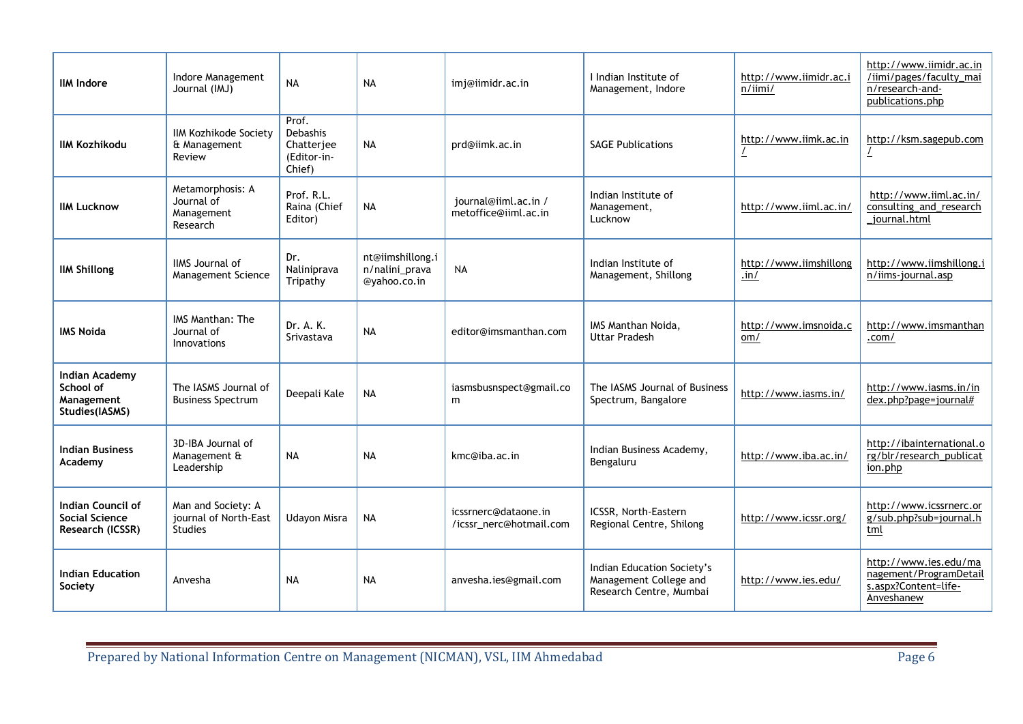| <b>IIM Indore</b>                                                  | Indore Management<br>Journal (IMJ)                            | <b>NA</b>                                                       | <b>NA</b>                                          | imj@iimidr.ac.in                                | I Indian Institute of<br>Management, Indore                                     | http://www.iimidr.ac.i<br>$n/$ iimi/ | http://www.iimidr.ac.in<br>/iimi/pages/faculty mai<br>n/research-and-<br>publications.php |
|--------------------------------------------------------------------|---------------------------------------------------------------|-----------------------------------------------------------------|----------------------------------------------------|-------------------------------------------------|---------------------------------------------------------------------------------|--------------------------------------|-------------------------------------------------------------------------------------------|
| <b>IIM Kozhikodu</b>                                               | <b>IIM Kozhikode Society</b><br>& Management<br>Review        | Prof.<br><b>Debashis</b><br>Chatterjee<br>(Editor-in-<br>Chief) | <b>NA</b>                                          | prd@iimk.ac.in                                  | <b>SAGE Publications</b>                                                        | http://www.iimk.ac.in                | http://ksm.sagepub.com                                                                    |
| <b>IIM Lucknow</b>                                                 | Metamorphosis: A<br>Journal of<br>Management<br>Research      | Prof. R.L.<br>Raina (Chief<br>Editor)                           | <b>NA</b>                                          | journal@iiml.ac.in /<br>metoffice@iiml.ac.in    | Indian Institute of<br>Management,<br>Lucknow                                   | http://www.iiml.ac.in/               | http://www.iiml.ac.in/<br>consulting and research<br>journal.html                         |
| <b>IIM Shillong</b>                                                | <b>IIMS</b> Journal of<br>Management Science                  | Dr.<br>Naliniprava<br>Tripathy                                  | nt@iimshillong.i<br>n/nalini_prava<br>@yahoo.co.in | <b>NA</b>                                       | Indian Institute of<br>Management, Shillong                                     | http://www.iimshillong<br>.in/       | http://www.iimshillong.i<br>n/iims-journal.asp                                            |
| <b>IMS Noida</b>                                                   | IMS Manthan: The<br>Journal of<br>Innovations                 | Dr. A. K.<br>Srivastava                                         | <b>NA</b>                                          | editor@imsmanthan.com                           | IMS Manthan Noida,<br><b>Uttar Pradesh</b>                                      | http://www.imsnoida.c<br>om/         | http://www.imsmanthan<br>.com/                                                            |
| <b>Indian Academy</b><br>School of<br>Management<br>Studies(IASMS) | The IASMS Journal of<br><b>Business Spectrum</b>              | Deepali Kale                                                    | <b>NA</b>                                          | iasmsbusnspect@gmail.co<br>m                    | The IASMS Journal of Business<br>Spectrum, Bangalore                            | http://www.iasms.in/                 | http://www.iasms.in/in<br>dex.php?page=journal#                                           |
| <b>Indian Business</b><br>Academy                                  | 3D-IBA Journal of<br>Management &<br>Leadership               | <b>NA</b>                                                       | <b>NA</b>                                          | kmc@iba.ac.in                                   | Indian Business Academy,<br>Bengaluru                                           | http://www.iba.ac.in/                | http://ibainternational.o<br>rg/blr/research_publicat<br>ion.php                          |
| Indian Council of<br>Social Science<br>Research (ICSSR)            | Man and Society: A<br>journal of North-East<br><b>Studies</b> | Udayon Misra                                                    | <b>NA</b>                                          | icssrnerc@dataone.in<br>/icssr_nerc@hotmail.com | ICSSR, North-Eastern<br>Regional Centre, Shilong                                | http://www.icssr.org/                | http://www.icssrnerc.or<br>g/sub.php?sub=journal.h<br>tml                                 |
| <b>Indian Education</b><br>Society                                 | Anvesha                                                       | <b>NA</b>                                                       | <b>NA</b>                                          | anvesha.ies@gmail.com                           | Indian Education Society's<br>Management College and<br>Research Centre, Mumbai | http://www.ies.edu/                  | http://www.ies.edu/ma<br>nagement/ProgramDetail<br>s.aspx?Content=life-<br>Anveshanew     |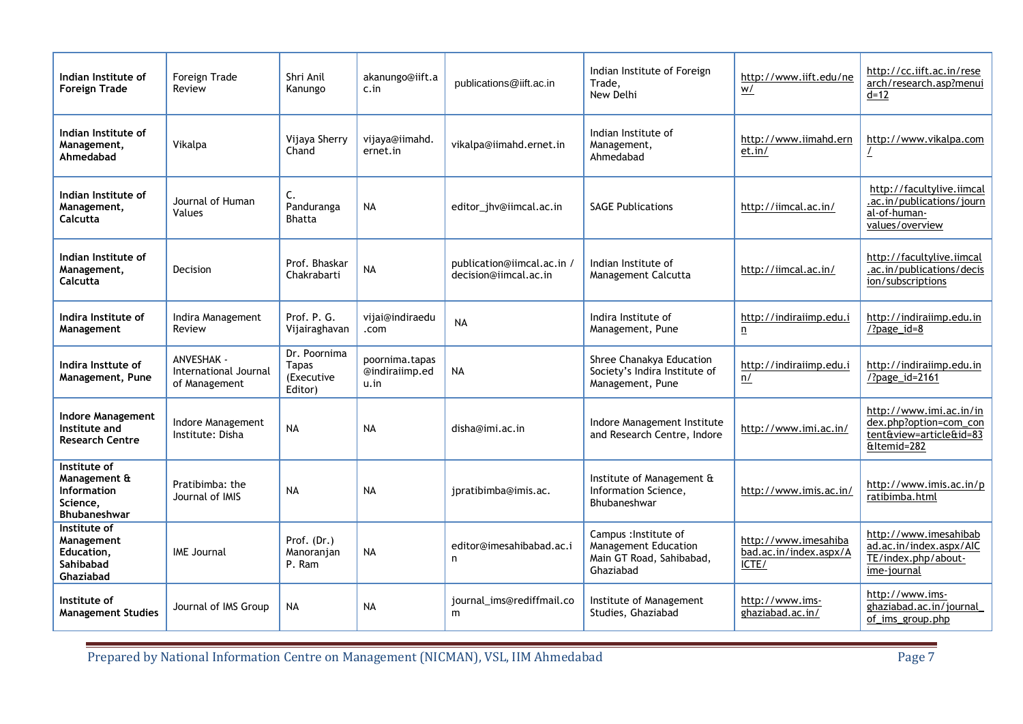| Indian Institute of<br><b>Foreign Trade</b>                                           | Foreign Trade<br>Review                                     | Shri Anil<br>Kanungo                                  | akanungo@iift.a<br>c.in                  | publications@iift.ac.in                             | Indian Institute of Foreign<br>Trade.<br>New Delhi                                     | http://www.iift.edu/ne<br>W/                            | http://cc.iift.ac.in/rese<br>arch/research.asp?menui<br>d=12                                |
|---------------------------------------------------------------------------------------|-------------------------------------------------------------|-------------------------------------------------------|------------------------------------------|-----------------------------------------------------|----------------------------------------------------------------------------------------|---------------------------------------------------------|---------------------------------------------------------------------------------------------|
| Indian Institute of<br>Management,<br>Ahmedabad                                       | Vikalpa                                                     | Vijaya Sherry<br>Chand                                | vijaya@iimahd.<br>ernet.in               | vikalpa@iimahd.ernet.in                             | Indian Institute of<br>Management,<br>Ahmedabad                                        | http://www.iimahd.ern<br>et.in/                         | http://www.vikalpa.com                                                                      |
| Indian Institute of<br>Management,<br>Calcutta                                        | Journal of Human<br>Values                                  | C.<br>Panduranga<br><b>Bhatta</b>                     | <b>NA</b>                                | editor_jhv@iimcal.ac.in                             | <b>SAGE Publications</b>                                                               | http://iimcal.ac.in/                                    | http://facultylive.iimcal<br>.ac.in/publications/journ<br>al-of-human-<br>values/overview   |
| Indian Institute of<br>Management,<br>Calcutta                                        | Decision                                                    | Prof. Bhaskar<br>Chakrabarti                          | <b>NA</b>                                | publication@iimcal.ac.in /<br>decision@iimcal.ac.in | Indian Institute of<br>Management Calcutta                                             | http://iimcal.ac.in/                                    | http://facultylive.iimcal<br>.ac.in/publications/decis<br>ion/subscriptions                 |
| Indira Institute of<br>Management                                                     | Indira Management<br>Review                                 | Prof. P. G.<br>Vijairaghavan                          | vijai@indiraedu<br>.com                  | <b>NA</b>                                           | Indira Institute of<br>Management, Pune                                                | http://indiraiimp.edu.i<br>n                            | http://indiraiimp.edu.in<br>$\frac{72}{9}$ age_id=8                                         |
| Indira Insttute of<br>Management, Pune                                                | <b>ANVESHAK -</b><br>International Journal<br>of Management | Dr. Poornima<br><b>Tapas</b><br>(Executive<br>Editor) | poornima.tapas<br>@indiraiimp.ed<br>u.in | <b>NA</b>                                           | Shree Chanakya Education<br>Society's Indira Institute of<br>Management, Pune          | http://indiraiimp.edu.i<br>n/                           | http://indiraiimp.edu.in<br>/?page_id=2161                                                  |
| <b>Indore Management</b><br>Institute and<br><b>Research Centre</b>                   | Indore Management<br>Institute: Disha                       | <b>NA</b>                                             | <b>NA</b>                                | disha@imi.ac.in                                     | Indore Management Institute<br>and Research Centre, Indore                             | http://www.imi.ac.in/                                   | http://www.imi.ac.in/in<br>dex.php?option=com_con<br>tent&view=article&id=83<br>&Itemid=282 |
| Institute of<br>Management &<br><b>Information</b><br>Science,<br><b>Bhubaneshwar</b> | Pratibimba: the<br>Journal of IMIS                          | <b>NA</b>                                             | <b>NA</b>                                | jpratibimba@imis.ac.                                | Institute of Management &<br>Information Science,<br>Bhubaneshwar                      | http://www.imis.ac.in/                                  | http://www.imis.ac.in/p<br>ratibimba.html                                                   |
| Institute of<br>Management<br>Education,<br>Sahibabad<br>Ghaziabad                    | <b>IME Journal</b>                                          | Prof. (Dr.)<br>Manoranjan<br>P. Ram                   | <b>NA</b>                                | editor@imesahibabad.ac.i<br>n                       | Campus : Institute of<br>Management Education<br>Main GT Road, Sahibabad,<br>Ghaziabad | http://www.imesahiba<br>bad.ac.in/index.aspx/A<br>ICTE/ | http://www.imesahibab<br>ad.ac.in/index.aspx/AIC<br>TE/index.php/about-<br>ime-journal      |
| Institute of<br><b>Management Studies</b>                                             | Journal of IMS Group                                        | NA                                                    | <b>NA</b>                                | journal_ims@rediffmail.co<br>m                      | Institute of Management<br>Studies, Ghaziabad                                          | http://www.ims-<br>ghaziabad.ac.in/                     | http://www.ims-<br>ghaziabad.ac.in/journal_<br>of_ims_group.php                             |

Prepared by National Information Centre on Management (NICMAN), VSL, IIM Ahmedabad Page 7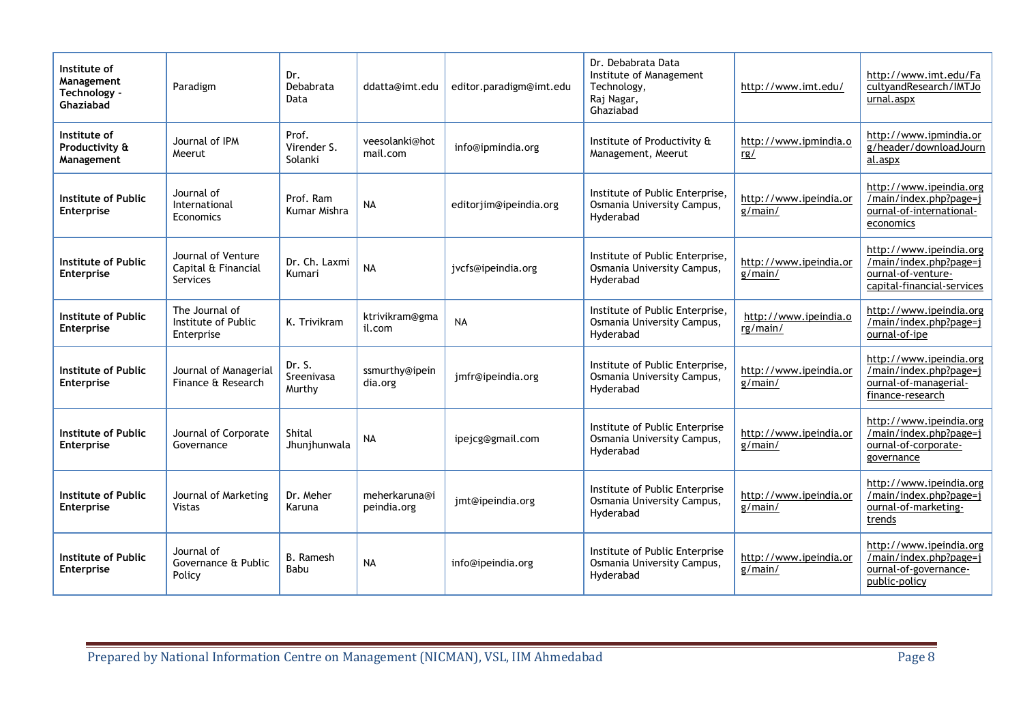| Institute of<br>Management<br>Technology -<br>Ghaziabad | Paradigm                                                     | Dr.<br>Debabrata<br>Data        | ddatta@imt.edu               | editor.paradigm@imt.edu | Dr. Debabrata Data<br>Institute of Management<br>Technology,<br>Raj Nagar,<br>Ghaziabad | http://www.imt.edu/               | http://www.imt.edu/Fa<br>cultyandResearch/IMTJo<br>urnal.aspx                                              |
|---------------------------------------------------------|--------------------------------------------------------------|---------------------------------|------------------------------|-------------------------|-----------------------------------------------------------------------------------------|-----------------------------------|------------------------------------------------------------------------------------------------------------|
| Institute of<br>Productivity &<br>Management            | Journal of IPM<br>Meerut                                     | Prof.<br>Virender S.<br>Solanki | veesolanki@hot<br>mail.com   | info@ipmindia.org       | Institute of Productivity &<br>Management, Meerut                                       | http://www.ipmindia.o<br>rg/      | http://www.ipmindia.or<br>g/header/downloadJourn<br>al.aspx                                                |
| Institute of Public<br><b>Enterprise</b>                | Journal of<br>International<br>Economics                     | Prof. Ram<br>Kumar Mishra       | <b>NA</b>                    | editorjim@ipeindia.org  | Institute of Public Enterprise,<br>Osmania University Campus,<br>Hyderabad              | http://www.ipeindia.or<br>g/main/ | http://www.ipeindia.org<br>/main/index.php?page=j<br>ournal-of-international-<br>economics                 |
| <b>Institute of Public</b><br><b>Enterprise</b>         | Journal of Venture<br>Capital & Financial<br><b>Services</b> | Dr. Ch. Laxmi<br>Kumari         | <b>NA</b>                    | jvcfs@ipeindia.org      | Institute of Public Enterprise,<br>Osmania University Campus,<br>Hyderabad              | http://www.ipeindia.or<br>g/main/ | http://www.ipeindia.org<br>/main/index.php?page=j<br>ournal-of-venture-<br>capital-financial-services      |
| <b>Institute of Public</b><br><b>Enterprise</b>         | The Journal of<br>Institute of Public<br>Enterprise          | K. Trivikram                    | ktrivikram@gma<br>il.com     | <b>NA</b>               | Institute of Public Enterprise,<br>Osmania University Campus,<br>Hyderabad              | http://www.ipeindia.o<br>rg/main/ | http://www.ipeindia.org<br>/main/index.php?page=j<br>ournal-of-ipe                                         |
| Institute of Public<br><b>Enterprise</b>                | Journal of Managerial<br>Finance & Research                  | Dr. S.<br>Sreenivasa<br>Murthy  | ssmurthy@ipein<br>dia.org    | jmfr@ipeindia.org       | Institute of Public Enterprise,<br>Osmania University Campus,<br>Hyderabad              | http://www.ipeindia.or<br>g/main/ | http://www.ipeindia.org<br>/main/index.php?page=i<br>ournal-of-managerial-<br>finance-research             |
| <b>Institute of Public</b><br><b>Enterprise</b>         | Journal of Corporate<br>Governance                           | Shital<br>Jhunjhunwala          | NA                           | ipejcg@gmail.com        | Institute of Public Enterprise<br>Osmania University Campus,<br>Hyderabad               | http://www.ipeindia.or<br>g/main/ | http://www.ipeindia.org<br>$\overline{\text{/main/index.php?page=}}$<br>ournal-of-corporate-<br>governance |
| <b>Institute of Public</b><br><b>Enterprise</b>         | Journal of Marketing<br>Vistas                               | Dr. Meher<br>Karuna             | meherkaruna@i<br>peindia.org | jmt@ipeindia.org        | Institute of Public Enterprise<br>Osmania University Campus,<br>Hyderabad               | http://www.ipeindia.or<br>g/main/ | http://www.ipeindia.org<br>/main/index.php?page=j<br>ournal-of-marketing-<br>trends                        |
| Institute of Public<br>Enterprise                       | Journal of<br>Governance & Public<br>Policy                  | <b>B.</b> Ramesh<br>Babu        | <b>NA</b>                    | info@ipeindia.org       | Institute of Public Enterprise<br>Osmania University Campus,<br>Hyderabad               | http://www.ipeindia.or<br>g/main/ | http://www.ipeindia.org<br>/main/index.php?page=j<br>ournal-of-governance-<br>public-policy                |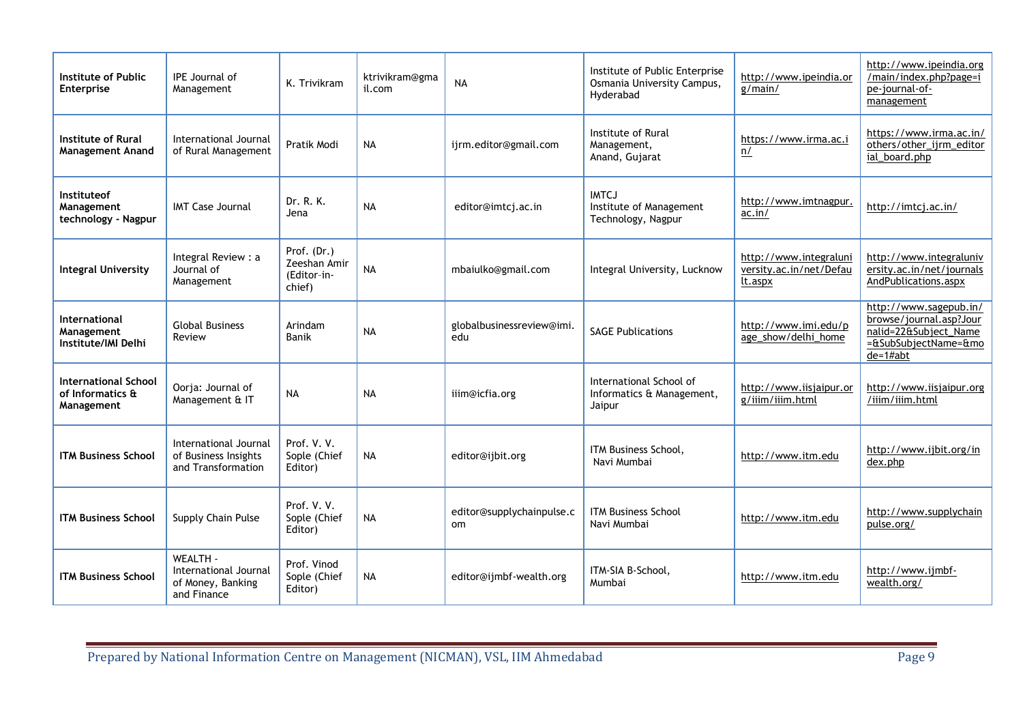| Institute of Public<br><b>Enterprise</b>                      | <b>IPE</b> Journal of<br>Management                                   | K. Trivikram                                         | ktrivikram@gma<br>il.com | <b>NA</b>                                  | Institute of Public Enterprise<br>Osmania University Campus,<br>Hyderabad | http://www.ipeindia.or<br>g/main/                            | http://www.ipeindia.org<br>/main/index.php?page=i<br>pe-journal-of-<br>management                                |
|---------------------------------------------------------------|-----------------------------------------------------------------------|------------------------------------------------------|--------------------------|--------------------------------------------|---------------------------------------------------------------------------|--------------------------------------------------------------|------------------------------------------------------------------------------------------------------------------|
| <b>Institute of Rural</b><br><b>Management Anand</b>          | International Journal<br>of Rural Management                          | Pratik Modi                                          | <b>NA</b>                | ijrm.editor@gmail.com                      | Institute of Rural<br>Management,<br>Anand, Gujarat                       | https://www.irma.ac.i<br>n/                                  | https://www.irma.ac.in/<br>others/other ijrm editor<br>ial_board.php                                             |
| <b>Instituteof</b><br>Management<br>technology - Nagpur       | <b>IMT Case Journal</b>                                               | Dr. R. K.<br>Jena                                    | <b>NA</b>                | editor@imtcj.ac.in                         | <b>IMTCJ</b><br>Institute of Management<br>Technology, Nagpur             | http://www.imtnagpur.<br>ac.in/                              | http://imtcj.ac.in/                                                                                              |
| <b>Integral University</b>                                    | Integral Review : a<br>Journal of<br>Management                       | Prof. (Dr.)<br>Zeeshan Amir<br>(Editor-in-<br>chief) | <b>NA</b>                | mbaiulko@gmail.com                         | Integral University, Lucknow                                              | http://www.integraluni<br>versity.ac.in/net/Defau<br>lt.aspx | http://www.integraluniv<br>ersity.ac.in/net/journals<br>AndPublications.aspx                                     |
| International<br>Management<br>Institute/IMI Delhi            | <b>Global Business</b><br>Review                                      | Arindam<br><b>Banik</b>                              | <b>NA</b>                | globalbusinessreview@imi.<br>edu           | <b>SAGE Publications</b>                                                  | http://www.imi.edu/p<br>age show/delhi home                  | http://www.sagepub.in/<br>browse/journal.asp?Jour<br>nalid=22&Subject_Name<br>=&SubSubjectName=&mo<br>$de=1#abt$ |
| <b>International School</b><br>of Informatics &<br>Management | Oorja: Journal of<br>Management & IT                                  | <b>NA</b>                                            | <b>NA</b>                | iiim@icfia.org                             | International School of<br>Informatics & Management,<br>Jaipur            | http://www.iisjaipur.or<br>g/iiim/iiim.html                  | http://www.iisjaipur.org<br>/iiim/iiim.html                                                                      |
| <b>ITM Business School</b>                                    | International Journal<br>of Business Insights<br>and Transformation   | Prof. V. V.<br>Sople (Chief<br>Editor)               | <b>NA</b>                | editor@ijbit.org                           | ITM Business School.<br>Navi Mumbai                                       | http://www.itm.edu                                           | http://www.ijbit.org/in<br>dex.php                                                                               |
| <b>ITM Business School</b>                                    | Supply Chain Pulse                                                    | Prof. V.V.<br>Sople (Chief<br>Editor)                | <b>NA</b>                | editor@supplychainpulse.c<br><sub>om</sub> | <b>ITM Business School</b><br>Navi Mumbai                                 | http://www.itm.edu                                           | http://www.supplychain<br>pulse.org/                                                                             |
| <b>ITM Business School</b>                                    | WEALTH -<br>International Journal<br>of Money, Banking<br>and Finance | Prof. Vinod<br>Sople (Chief<br>Editor)               | <b>NA</b>                | editor@ijmbf-wealth.org                    | ITM-SIA B-School,<br>Mumbai                                               | http://www.itm.edu                                           | http://www.ijmbf-<br>wealth.org/                                                                                 |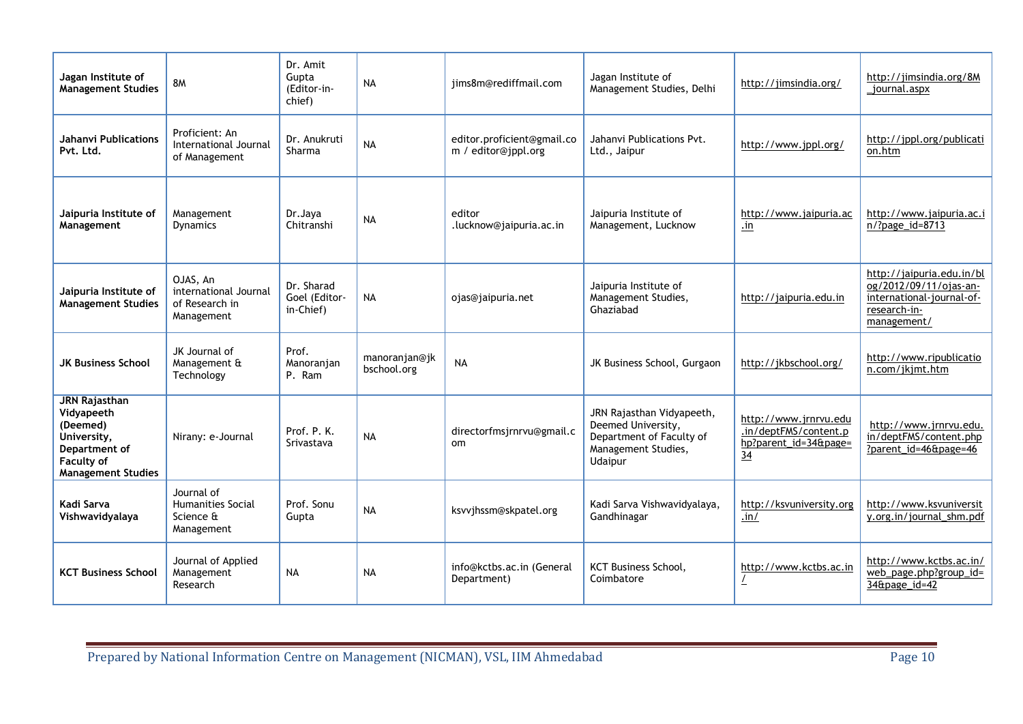| Jagan Institute of<br><b>Management Studies</b>                                                                           | <b>8M</b>                                                         | Dr. Amit<br>Gupta<br>(Editor-in-<br>chief) | <b>NA</b>                    | iims8m@rediffmail.com                             | Jagan Institute of<br>Management Studies, Delhi                                                               | http://jimsindia.org/                                                                     | http://jimsindia.org/8M<br>_journal.aspx                                                                        |
|---------------------------------------------------------------------------------------------------------------------------|-------------------------------------------------------------------|--------------------------------------------|------------------------------|---------------------------------------------------|---------------------------------------------------------------------------------------------------------------|-------------------------------------------------------------------------------------------|-----------------------------------------------------------------------------------------------------------------|
| <b>Jahanvi Publications</b><br>Pvt. Ltd.                                                                                  | Proficient: An<br>International Journal<br>of Management          | Dr. Anukruti<br>Sharma                     | <b>NA</b>                    | editor.proficient@gmail.co<br>m / editor@jppl.org | Jahanvi Publications Pvt.<br>Ltd., Jaipur                                                                     | http://www.jppl.org/                                                                      | http://jppl.org/publicati<br>on.htm                                                                             |
| Jaipuria Institute of<br>Management                                                                                       | Management<br><b>Dynamics</b>                                     | Dr.Jaya<br>Chitranshi                      | <b>NA</b>                    | editor<br>.lucknow@jaipuria.ac.in                 | Jaipuria Institute of<br>Management, Lucknow                                                                  | http://www.jaipuria.ac<br>$\cdot$ in                                                      | http://www.jaipuria.ac.i<br>n/?page_id=8713                                                                     |
| Jaipuria Institute of<br><b>Management Studies</b>                                                                        | OJAS, An<br>international Journal<br>of Research in<br>Management | Dr. Sharad<br>Goel (Editor-<br>in-Chief)   | <b>NA</b>                    | ojas@jaipuria.net                                 | Jaipuria Institute of<br>Management Studies,<br>Ghaziabad                                                     | http://jaipuria.edu.in                                                                    | http://jaipuria.edu.in/bl<br>og/2012/09/11/ojas-an-<br>international-journal-of-<br>research-in-<br>management/ |
| <b>JK Business School</b>                                                                                                 | JK Journal of<br>Management &<br>Technology                       | Prof.<br>Manoranjan<br>P. Ram              | manoranjan@jk<br>bschool.org | <b>NA</b>                                         | JK Business School, Gurgaon                                                                                   | http://jkbschool.org/                                                                     | http://www.ripublicatio<br>n.com/jkjmt.htm                                                                      |
| <b>JRN Rajasthan</b><br>Vidyapeeth<br>(Deemed)<br>University.<br>Department of<br>Faculty of<br><b>Management Studies</b> | Nirany: e-Journal                                                 | Prof. P. K.<br>Srivastava                  | <b>NA</b>                    | directorfmsjrnrvu@gmail.c<br>om                   | JRN Rajasthan Vidyapeeth,<br>Deemed University,<br>Department of Faculty of<br>Management Studies,<br>Udaipur | http://www.jrnrvu.edu<br>.in/deptFMS/content.p<br>hp?parent_id=34&page=<br>$\frac{34}{5}$ | http://www.jrnrvu.edu.<br>in/deptFMS/content.php<br>?parent_id=46&page=46                                       |
| Kadi Sarva<br>Vishwavidyalaya                                                                                             | Journal of<br><b>Humanities Social</b><br>Science &<br>Management | Prof. Sonu<br>Gupta                        | <b>NA</b>                    | ksvvjhssm@skpatel.org                             | Kadi Sarva Vishwavidyalaya,<br>Gandhinagar                                                                    | http://ksvuniversity.org<br>.in/                                                          | http://www.ksvuniversit<br>y.org.in/journal shm.pdf                                                             |
| <b>KCT Business School</b>                                                                                                | Journal of Applied<br>Management<br>Research                      | <b>NA</b>                                  | <b>NA</b>                    | info@kctbs.ac.in (General<br>Department)          | KCT Business School,<br>Coimbatore                                                                            | http://www.kctbs.ac.in                                                                    | http://www.kctbs.ac.in/<br>web_page.php?group_id=<br>34&page_id=42                                              |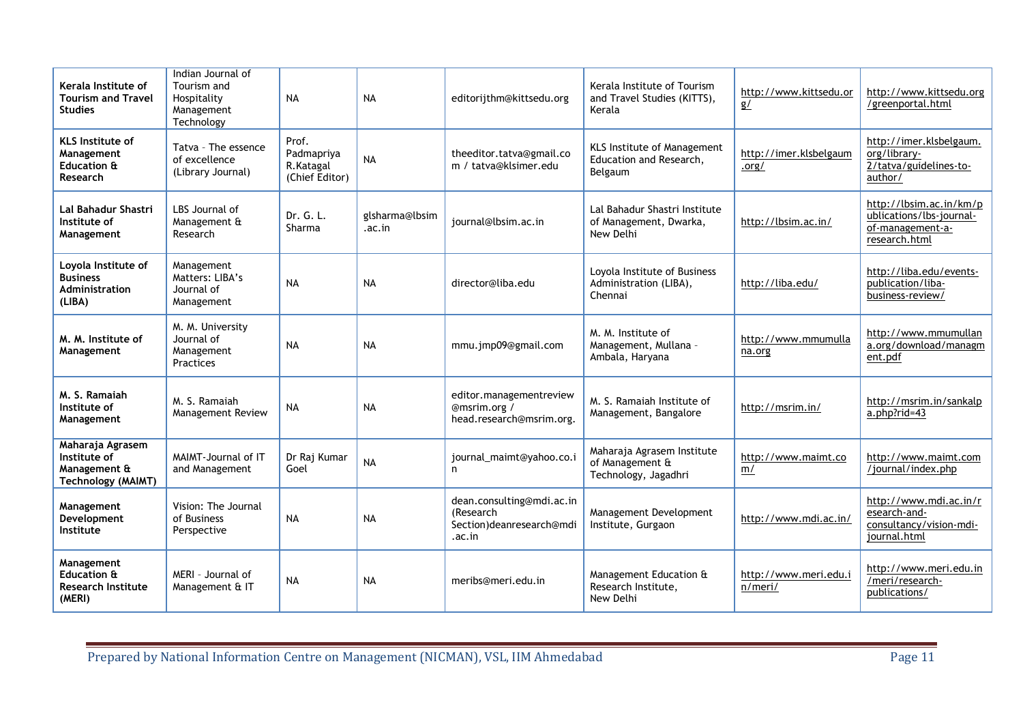| Kerala Institute of<br><b>Tourism and Travel</b><br><b>Studies</b>            | Indian Journal of<br>Tourism and<br>Hospitality<br>Management<br>Technology | <b>NA</b>                                          | <b>NA</b>                | editorijthm@kittsedu.org                                                     | Kerala Institute of Tourism<br>and Travel Studies (KITTS),<br>Kerala     | http://www.kittsedu.or<br>g/     | http://www.kittsedu.org<br>/greenportal.html                                             |
|-------------------------------------------------------------------------------|-----------------------------------------------------------------------------|----------------------------------------------------|--------------------------|------------------------------------------------------------------------------|--------------------------------------------------------------------------|----------------------------------|------------------------------------------------------------------------------------------|
| <b>KLS</b> Institute of<br>Management<br>Education &<br>Research              | Tatva - The essence<br>of excellence<br>(Library Journal)                   | Prof.<br>Padmapriya<br>R.Katagal<br>(Chief Editor) | <b>NA</b>                | theeditor.tatva@gmail.co<br>m / tatva@klsimer.edu                            | <b>KLS Institute of Management</b><br>Education and Research,<br>Belgaum | http://imer.klsbelgaum<br>.org/  | http://imer.klsbelgaum.<br>org/library-<br>2/tatva/guidelines-to-<br>author/             |
| Lal Bahadur Shastri<br>Institute of<br>Management                             | LBS Journal of<br>Management &<br>Research                                  | Dr. G. L.<br>Sharma                                | glsharma@lbsim<br>.ac.in | journal@lbsim.ac.in                                                          | Lal Bahadur Shastri Institute<br>of Management, Dwarka,<br>New Delhi     | http://lbsim.ac.in/              | http://lbsim.ac.in/km/p<br>ublications/lbs-journal-<br>of-management-a-<br>research.html |
| Loyola Institute of<br><b>Business</b><br><b>Administration</b><br>(LIBA)     | Management<br>Matters: LIBA's<br>Journal of<br>Management                   | <b>NA</b>                                          | <b>NA</b>                | director@liba.edu                                                            | Loyola Institute of Business<br>Administration (LIBA),<br>Chennai        | http://liba.edu/                 | http://liba.edu/events-<br>publication/liba-<br>business-review/                         |
| M. M. Institute of<br>Management                                              | M. M. University<br>Journal of<br>Management<br><b>Practices</b>            | <b>NA</b>                                          | <b>NA</b>                | mmu.jmp09@gmail.com                                                          | M. M. Institute of<br>Management, Mullana -<br>Ambala, Haryana           | http://www.mmumulla<br>na.org    | http://www.mmumullan<br>a.org/download/managm<br>ent.pdf                                 |
| M. S. Ramaiah<br>Institute of<br>Management                                   | M. S. Ramaiah<br>Management Review                                          | <b>NA</b>                                          | <b>NA</b>                | editor.managementreview<br>@msrim.org /<br>head.research@msrim.org.          | M. S. Ramaiah Institute of<br>Management, Bangalore                      | http://msrim.in/                 | http://msrim.in/sankalp<br>a.php?rid=43                                                  |
| Maharaja Agrasem<br>Institute of<br>Management &<br><b>Technology (MAIMT)</b> | MAIMT-Journal of IT<br>and Management                                       | Dr Raj Kumar<br>Goel                               | <b>NA</b>                | journal_maimt@yahoo.co.i<br>n                                                | Maharaja Agrasem Institute<br>of Management &<br>Technology, Jagadhri    | http://www.maimt.co<br>m/        | http://www.maimt.com<br>/journal/index.php                                               |
| Management<br>Development<br>Institute                                        | Vision: The Journal<br>of Business<br>Perspective                           | <b>NA</b>                                          | <b>NA</b>                | dean.consulting@mdi.ac.in<br>(Research<br>Section)deanresearch@mdi<br>.ac.in | Management Development<br>Institute, Gurgaon                             | http://www.mdi.ac.in/            | http://www.mdi.ac.in/r<br>esearch-and-<br>consultancy/vision-mdi-<br>journal.html        |
| Management<br><b>Education &amp;</b><br><b>Research Institute</b><br>(MERI)   | MERI - Journal of<br>Management & IT                                        | <b>NA</b>                                          | <b>NA</b>                | meribs@meri.edu.in                                                           | Management Education &<br>Research Institute.<br>New Delhi               | http://www.meri.edu.i<br>n/meri/ | http://www.meri.edu.in<br>/meri/research-<br>publications/                               |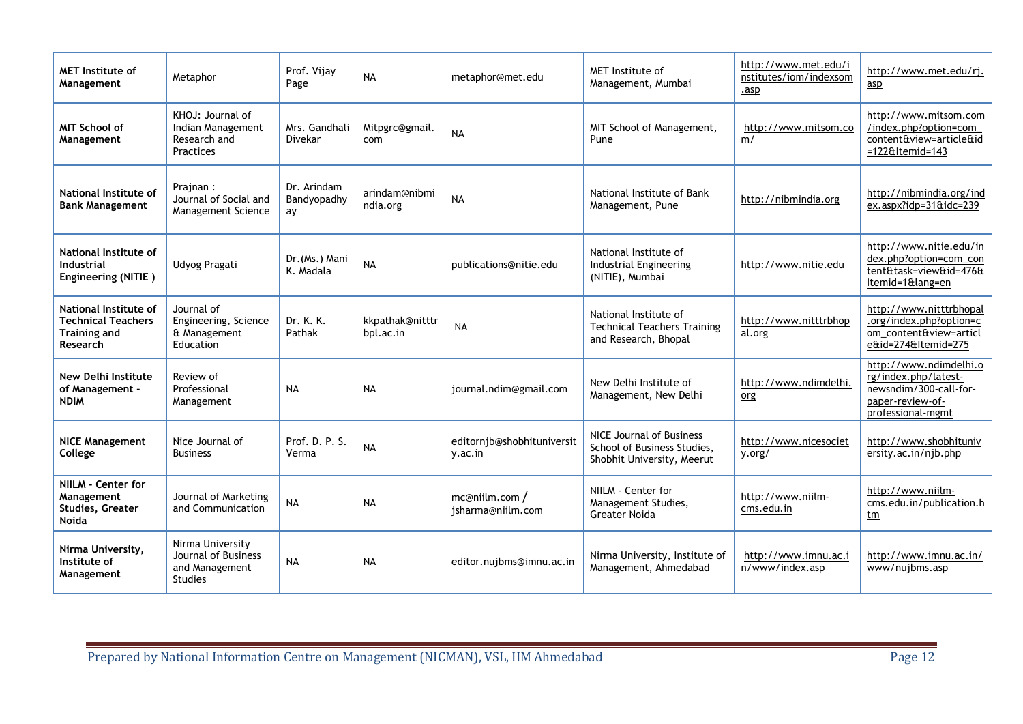| <b>MET</b> Institute of<br>Management                                                 | Metaphor                                                                    | Prof. Vijav<br>Page              | <b>NA</b>                    | metaphor@met.edu                      | MET Institute of<br>Management, Mumbai                                                | http://www.met.edu/i<br>nstitutes/iom/indexsom<br>.asp | http://www.met.edu/rj.<br>asp                                                                                     |
|---------------------------------------------------------------------------------------|-----------------------------------------------------------------------------|----------------------------------|------------------------------|---------------------------------------|---------------------------------------------------------------------------------------|--------------------------------------------------------|-------------------------------------------------------------------------------------------------------------------|
| <b>MIT School of</b><br>Management                                                    | KHOJ: Journal of<br>Indian Management<br>Research and<br><b>Practices</b>   | Mrs. Gandhali<br><b>Divekar</b>  | Mitpgrc@gmail.<br>com        | <b>NA</b>                             | MIT School of Management,<br>Pune                                                     | http://www.mitsom.co<br>m/                             | http://www.mitsom.com<br>/index.php?option=com_<br>content&view=article&id<br>$=122$ &Itemid=143                  |
| National Institute of<br><b>Bank Management</b>                                       | Prajnan:<br>Journal of Social and<br>Management Science                     | Dr. Arindam<br>Bandyopadhy<br>ay | arindam@nibmi<br>ndia.org    | <b>NA</b>                             | National Institute of Bank<br>Management, Pune                                        | http://nibmindia.org                                   | http://nibmindia.org/ind<br>$ex.$ aspx?idp=31&idc=239                                                             |
| National Institute of<br><b>Industrial</b><br>Engineering (NITIE)                     | Udyog Pragati                                                               | Dr. (Ms.) Mani<br>K. Madala      | <b>NA</b>                    | publications@nitie.edu                | National Institute of<br>Industrial Engineering<br>(NITIE), Mumbai                    | http://www.nitie.edu                                   | http://www.nitie.edu/in<br>dex.php?option=com_con<br>tent&task=view&id=476&<br>Itemid=1⟨=en                       |
| National Institute of<br><b>Technical Teachers</b><br><b>Training and</b><br>Research | Journal of<br>Engineering, Science<br>& Management<br>Education             | Dr. K. K.<br>Pathak              | kkpathak@nitttr<br>bpl.ac.in | <b>NA</b>                             | National Institute of<br><b>Technical Teachers Training</b><br>and Research, Bhopal   | http://www.nitttrbhop<br>al.org                        | http://www.nitttrbhopal<br>.org/index.php?option=c<br>om_content&view=articl<br>e&id=274&Itemid=275               |
| New Delhi Institute<br>of Management -<br><b>NDIM</b>                                 | Review of<br>Professional<br>Management                                     | <b>NA</b>                        | <b>NA</b>                    | journal.ndim@gmail.com                | New Delhi Institute of<br>Management, New Delhi                                       | http://www.ndimdelhi.<br>org                           | http://www.ndimdelhi.o<br>rg/index.php/latest-<br>newsndim/300-call-for-<br>paper-review-of-<br>professional-mgmt |
| <b>NICE Management</b><br>College                                                     | Nice Journal of<br><b>Business</b>                                          | Prof. D. P. S.<br>Verma          | <b>NA</b>                    | editornjb@shobhituniversit<br>y.ac.in | NICE Journal of Business<br>School of Business Studies,<br>Shobhit University, Meerut | http://www.nicesociet<br>y.org/                        | http://www.shobhituniv<br>ersity.ac.in/njb.php                                                                    |
| NIILM - Center for<br>Management<br>Studies, Greater<br><b>Noida</b>                  | Journal of Marketing<br>and Communication                                   | <b>NA</b>                        | <b>NA</b>                    | mc@niilm.com/<br>jsharma@niilm.com    | NIILM - Center for<br>Management Studies,<br>Greater Noida                            | http://www.niilm-<br>cms.edu.in                        | http://www.niilm-<br>cms.edu.in/publication.h<br>$tm$                                                             |
| Nirma University,<br>Institute of<br>Management                                       | Nirma University<br>Journal of Business<br>and Management<br><b>Studies</b> | <b>NA</b>                        | <b>NA</b>                    | editor.nujbms@imnu.ac.in              | Nirma University, Institute of<br>Management, Ahmedabad                               | http://www.imnu.ac.i<br>n/www/index.asp                | http://www.imnu.ac.in/<br>www/nujbms.asp                                                                          |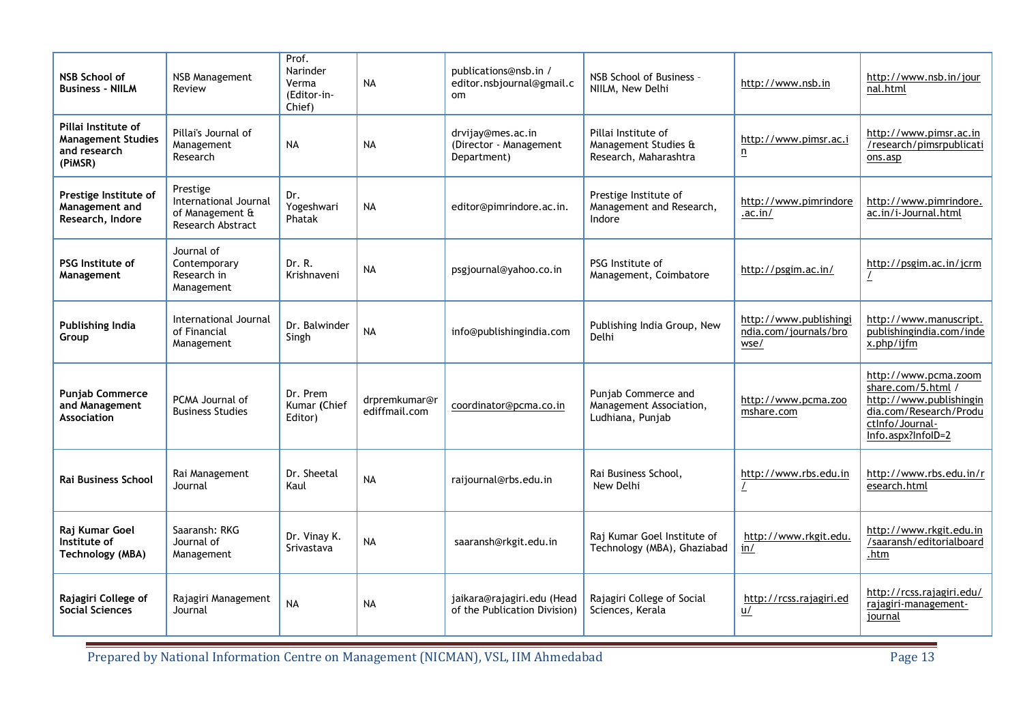| <b>NSB School of</b><br><b>Business - NIILM</b>                             | NSB Management<br>Review                                                  | Prof.<br>Narinder<br>Verma<br>(Editor-in-<br>Chief) | <b>NA</b>                      | publications@nsb.in /<br>editor.nsbjournal@gmail.c<br>om   | NSB School of Business -<br>NIILM, New Delhi                         | http://www.nsb.in                                       | http://www.nsb.in/jour<br>nal.html                                                                                                       |
|-----------------------------------------------------------------------------|---------------------------------------------------------------------------|-----------------------------------------------------|--------------------------------|------------------------------------------------------------|----------------------------------------------------------------------|---------------------------------------------------------|------------------------------------------------------------------------------------------------------------------------------------------|
| Pillai Institute of<br><b>Management Studies</b><br>and research<br>(PiMSR) | Pillai's Journal of<br>Management<br>Research                             | <b>NA</b>                                           | <b>NA</b>                      | drvijay@mes.ac.in<br>(Director - Management<br>Department) | Pillai Institute of<br>Management Studies &<br>Research, Maharashtra | http://www.pimsr.ac.i<br>$\overline{\mathsf{n}}$        | http://www.pimsr.ac.in<br>/research/pimsrpublicati<br>ons.asp                                                                            |
| Prestige Institute of<br>Management and<br>Research, Indore                 | Prestige<br>International Journal<br>of Management &<br>Research Abstract | Dr.<br>Yogeshwari<br>Phatak                         | <b>NA</b>                      | editor@pimrindore.ac.in.                                   | Prestige Institute of<br>Management and Research,<br>Indore          | http://www.pimrindore<br>.ac.in/                        | http://www.pimrindore.<br>ac.in/i-Journal.html                                                                                           |
| <b>PSG Institute of</b><br>Management                                       | Journal of<br>Contemporary<br>Research in<br>Management                   | Dr. R.<br>Krishnaveni                               | <b>NA</b>                      | psgjournal@yahoo.co.in                                     | PSG Institute of<br>Management, Coimbatore                           | http://psgim.ac.in/                                     | http://psgim.ac.in/jcrm                                                                                                                  |
| <b>Publishing India</b><br>Group                                            | International Journal<br>of Financial<br>Management                       | Dr. Balwinder<br>Singh                              | <b>NA</b>                      | info@publishingindia.com                                   | Publishing India Group, New<br>Delhi                                 | http://www.publishingi<br>ndia.com/journals/bro<br>wse/ | http://www.manuscript.<br>publishingindia.com/inde<br>x.php/ijfm                                                                         |
| <b>Punjab Commerce</b><br>and Management<br><b>Association</b>              | PCMA Journal of<br><b>Business Studies</b>                                | Dr. Prem<br>Kumar (Chief<br>Editor)                 | drpremkumar@r<br>ediffmail.com | coordinator@pcma.co.in                                     | Punjab Commerce and<br>Management Association,<br>Ludhiana, Punjab   | http://www.pcma.zoo<br>mshare.com                       | http://www.pcma.zoom<br>share.com/5.html /<br>http://www.publishingin<br>dia.com/Research/Produ<br>ctlnfo/Journal-<br>Info.aspx?InfoID=2 |
| Rai Business School                                                         | Rai Management<br>Journal                                                 | Dr. Sheetal<br>Kaul                                 | <b>NA</b>                      | raijournal@rbs.edu.in                                      | Rai Business School,<br>New Delhi                                    | http://www.rbs.edu.in                                   | http://www.rbs.edu.in/r<br>esearch.html                                                                                                  |
| Raj Kumar Goel<br>Institute of<br><b>Technology (MBA)</b>                   | Saaransh: RKG<br>Journal of<br>Management                                 | Dr. Vinay K.<br>Srivastava                          | <b>NA</b>                      | saaransh@rkgit.edu.in                                      | Raj Kumar Goel Institute of<br>Technology (MBA), Ghaziabad           | http://www.rkgit.edu.<br>in/                            | http://www.rkgit.edu.in<br>/saaransh/editorialboard<br>.htm                                                                              |
| Rajagiri College of<br><b>Social Sciences</b>                               | Rajagiri Management<br>Journal                                            | <b>NA</b>                                           | <b>NA</b>                      | jaikara@rajagiri.edu (Head<br>of the Publication Division) | Rajagiri College of Social<br>Sciences, Kerala                       | http://rcss.rajagiri.ed<br>u/                           | http://rcss.rajagiri.edu/<br>rajagiri-management-<br>journal                                                                             |

Prepared by National Information Centre on Management (NICMAN), VSL, IIM Ahmedabad Page 13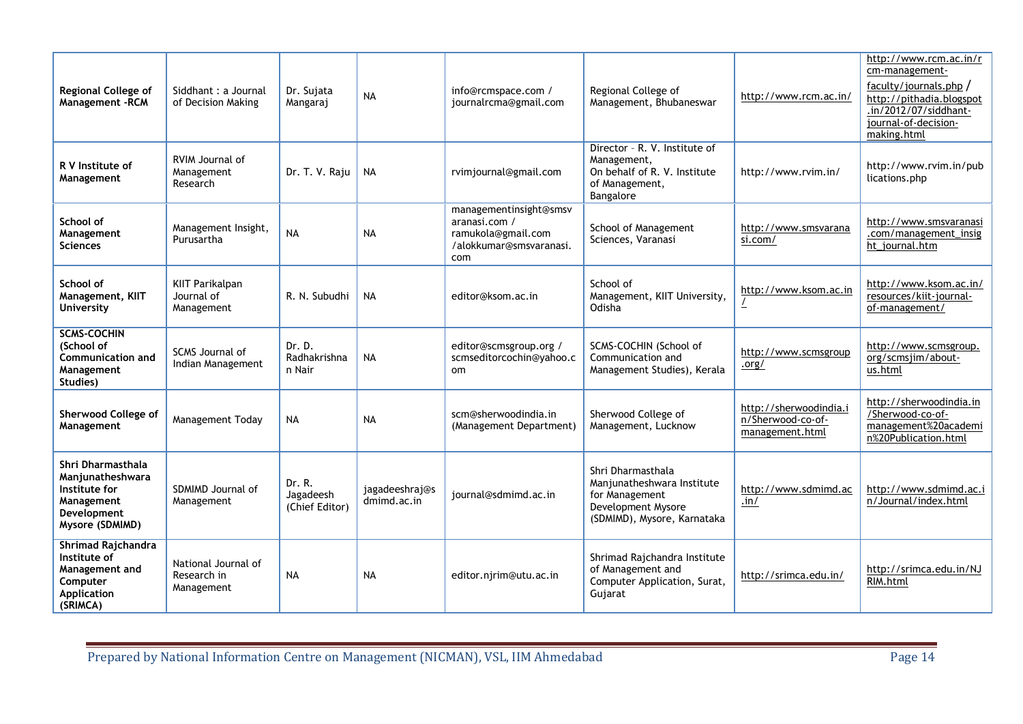| Regional College of<br>Management - RCM                                                                | Siddhant : a Journal<br>of Decision Making       | Dr. Sujata<br>Mangaraj                | <b>NA</b>                     | info@rcmspace.com /<br>journalrcma@gmail.com                                                    | Regional College of<br>Management, Bhubaneswar                                                                         | http://www.rcm.ac.in/                                          | http://www.rcm.ac.in/r<br>cm-management-<br>faculty/journals.php $/$<br>http://pithadia.blogspot<br>.in/2012/07/siddhant-<br>journal-of-decision-<br>making.html |
|--------------------------------------------------------------------------------------------------------|--------------------------------------------------|---------------------------------------|-------------------------------|-------------------------------------------------------------------------------------------------|------------------------------------------------------------------------------------------------------------------------|----------------------------------------------------------------|------------------------------------------------------------------------------------------------------------------------------------------------------------------|
| R V Institute of<br>Management                                                                         | RVIM Journal of<br>Management<br>Research        | Dr. T. V. Raju                        | <b>NA</b>                     | rvimjournal@gmail.com                                                                           | Director - R. V. Institute of<br>Management,<br>On behalf of R. V. Institute<br>of Management,<br>Bangalore            | http://www.rvim.in/                                            | http://www.rvim.in/pub<br>lications.php                                                                                                                          |
| School of<br>Management<br><b>Sciences</b>                                                             | Management Insight,<br>Purusartha                | <b>NA</b>                             | <b>NA</b>                     | managementinsight@smsv<br>aranasi.com /<br>ramukola@gmail.com<br>/alokkumar@smsvaranasi.<br>com | School of Management<br>Sciences, Varanasi                                                                             | http://www.smsvarana<br>si.com/                                | http://www.smsvaranasi<br>.com/management insig<br>ht_journal.htm                                                                                                |
| School of<br>Management, KIIT<br>University                                                            | KIIT Parikalpan<br>Journal of<br>Management      | R. N. Subudhi                         | <b>NA</b>                     | editor@ksom.ac.in                                                                               | School of<br>Management, KIIT University,<br>Odisha                                                                    | http://www.ksom.ac.in                                          | http://www.ksom.ac.in/<br>resources/kiit-journal-<br>of-management/                                                                                              |
| <b>SCMS-COCHIN</b><br>(School of<br><b>Communication and</b><br>Management<br>Studies)                 | <b>SCMS Journal of</b><br>Indian Management      | Dr. D.<br>Radhakrishna<br>n Nair      | <b>NA</b>                     | editor@scmsgroup.org /<br>scmseditorcochin@yahoo.c<br>om                                        | SCMS-COCHIN (School of<br>Communication and<br>Management Studies), Kerala                                             | http://www.scmsgroup<br>.org/                                  | http://www.scmsgroup.<br>org/scmsjim/about-<br>us.html                                                                                                           |
| Sherwood College of<br>Management                                                                      | Management Today                                 | <b>NA</b>                             | <b>NA</b>                     | scm@sherwoodindia.in<br>(Management Department)                                                 | Sherwood College of<br>Management, Lucknow                                                                             | http://sherwoodindia.i<br>n/Sherwood-co-of-<br>management.html | http://sherwoodindia.in<br>/Sherwood-co-of-<br>management%20academi<br>n%20Publication.html                                                                      |
| Shri Dharmasthala<br>Manjunatheshwara<br>Institute for<br>Management<br>Development<br>Mysore (SDMIMD) | SDMIMD Journal of<br>Management                  | Dr. R.<br>Jagadeesh<br>(Chief Editor) | jagadeeshraj@s<br>dmimd.ac.in | journal@sdmimd.ac.in                                                                            | Shri Dharmasthala<br>Manjunatheshwara Institute<br>for Management<br>Development Mysore<br>(SDMIMD), Mysore, Karnataka | http://www.sdmimd.ac<br>.in/                                   | http://www.sdmimd.ac.i<br>n/Journal/index.html                                                                                                                   |
| Shrimad Rajchandra<br>Institute of<br>Management and<br>Computer<br>Application<br>(SRIMCA)            | National Journal of<br>Research in<br>Management | <b>NA</b>                             | <b>NA</b>                     | editor.njrim@utu.ac.in                                                                          | Shrimad Rajchandra Institute<br>of Management and<br>Computer Application, Surat,<br>Gujarat                           | http://srimca.edu.in/                                          | http://srimca.edu.in/NJ<br>RIM.html                                                                                                                              |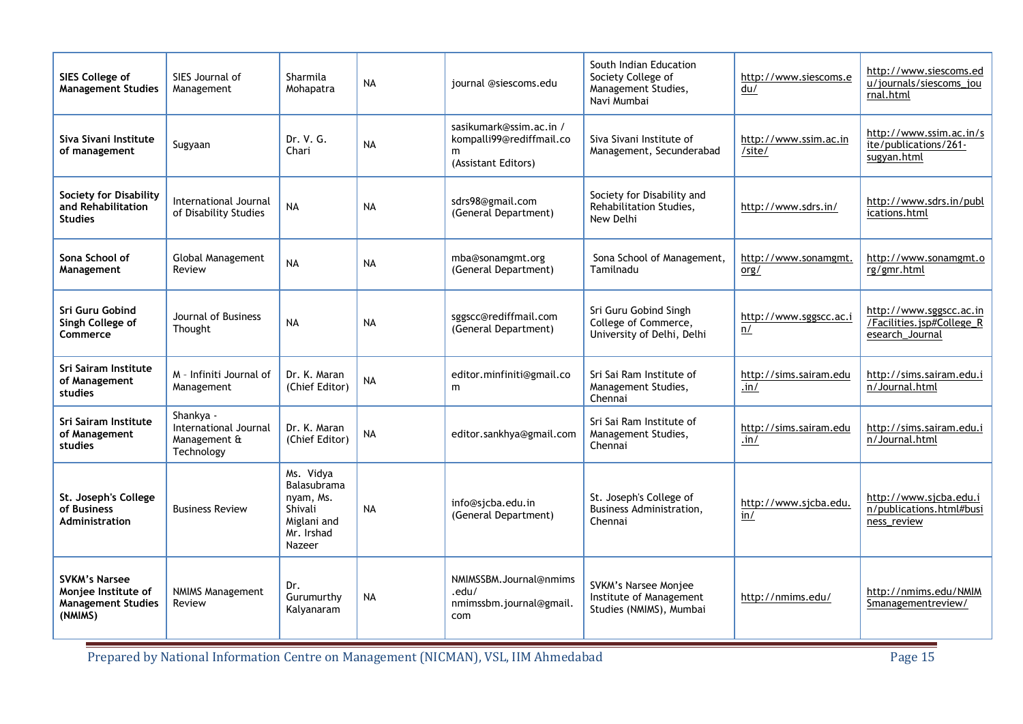| SIES College of<br><b>Management Studies</b>                                        | SIES Journal of<br>Management                                    | Sharmila<br>Mohapatra                                                                          | <b>NA</b> | journal @siescoms.edu                                                      | South Indian Education<br>Society College of<br>Management Studies,<br>Navi Mumbai | http://www.siescoms.e<br>du/          | http://www.siescoms.ed<br>u/journals/siescoms_jou<br>rnal.html          |
|-------------------------------------------------------------------------------------|------------------------------------------------------------------|------------------------------------------------------------------------------------------------|-----------|----------------------------------------------------------------------------|------------------------------------------------------------------------------------|---------------------------------------|-------------------------------------------------------------------------|
| Siva Sivani Institute<br>of management                                              | Sugyaan                                                          | Dr. V. G.<br>Chari                                                                             | <b>NA</b> | sasikumark@ssim.ac.in /<br>kompalli99@rediffmail.co<br>(Assistant Editors) | Siva Sivani Institute of<br>Management, Secunderabad                               | http://www.ssim.ac.in<br>/site/       | http://www.ssim.ac.in/s<br>ite/publications/261-<br>sugyan.html         |
| <b>Society for Disability</b><br>and Rehabilitation<br><b>Studies</b>               | International Journal<br>of Disability Studies                   | <b>NA</b>                                                                                      | <b>NA</b> | sdrs98@gmail.com<br>(General Department)                                   | Society for Disability and<br>Rehabilitation Studies,<br>New Delhi                 | http://www.sdrs.in/                   | http://www.sdrs.in/publ<br>ications.html                                |
| Sona School of<br>Management                                                        | <b>Global Management</b><br>Review                               | <b>NA</b>                                                                                      | <b>NA</b> | mba@sonamgmt.org<br>(General Department)                                   | Sona School of Management,<br>Tamilnadu                                            | http://www.sonamgmt.<br>org/          | http://www.sonamgmt.o<br>rg/gmr.html                                    |
| Sri Guru Gobind<br>Singh College of<br><b>Commerce</b>                              | Journal of Business<br>Thought                                   | <b>NA</b>                                                                                      | <b>NA</b> | sggscc@rediffmail.com<br>(General Department)                              | Sri Guru Gobind Singh<br>College of Commerce,<br>University of Delhi, Delhi        | http://www.sggscc.ac.i<br>n/          | http://www.sggscc.ac.in<br>/Facilities.jsp#College_R<br>esearch Journal |
| Sri Sairam Institute<br>of Management<br>studies                                    | M - Infiniti Journal of<br>Management                            | Dr. K. Maran<br>(Chief Editor)                                                                 | <b>NA</b> | editor.minfiniti@gmail.co<br>m                                             | Sri Sai Ram Institute of<br>Management Studies,<br>Chennai                         | http://sims.sairam.edu<br>.in/        | http://sims.sairam.edu.i<br>n/Journal.html                              |
| Sri Sairam Institute<br>of Management<br>studies                                    | Shankya -<br>International Journal<br>Management &<br>Technology | Dr. K. Maran<br>(Chief Editor)                                                                 | <b>NA</b> | editor.sankhya@gmail.com                                                   | Sri Sai Ram Institute of<br>Management Studies,<br>Chennai                         | http://sims.sairam.edu<br>$\cdot$ in/ | http://sims.sairam.edu.i<br>n/Journal.html                              |
| St. Joseph's College<br>of Business<br><b>Administration</b>                        | <b>Business Review</b>                                           | Ms. Vidya<br><b>Balasubrama</b><br>nyam, Ms.<br>Shivali<br>Miglani and<br>Mr. Irshad<br>Nazeer | <b>NA</b> | info@sicba.edu.in<br>(General Department)                                  | St. Joseph's College of<br>Business Administration,<br>Chennai                     | http://www.sjcba.edu.<br>in/          | http://www.sjcba.edu.i<br>n/publications.html#busi<br>ness_review       |
| <b>SVKM's Narsee</b><br>Monjee Institute of<br><b>Management Studies</b><br>(NMIMS) | <b>NMIMS Management</b><br>Review                                | Dr.<br>Gurumurthy<br>Kalyanaram                                                                | <b>NA</b> | NMIMSSBM.Journal@nmims<br>.edu/<br>nmimssbm.journal@gmail.<br>com          | <b>SVKM's Narsee Monjee</b><br>Institute of Management<br>Studies (NMIMS), Mumbai  | http://nmims.edu/                     | http://nmims.edu/NMIM<br>Smanagementreview/                             |

Prepared by National Information Centre on Management (NICMAN), VSL, IIM Ahmedabad Page 15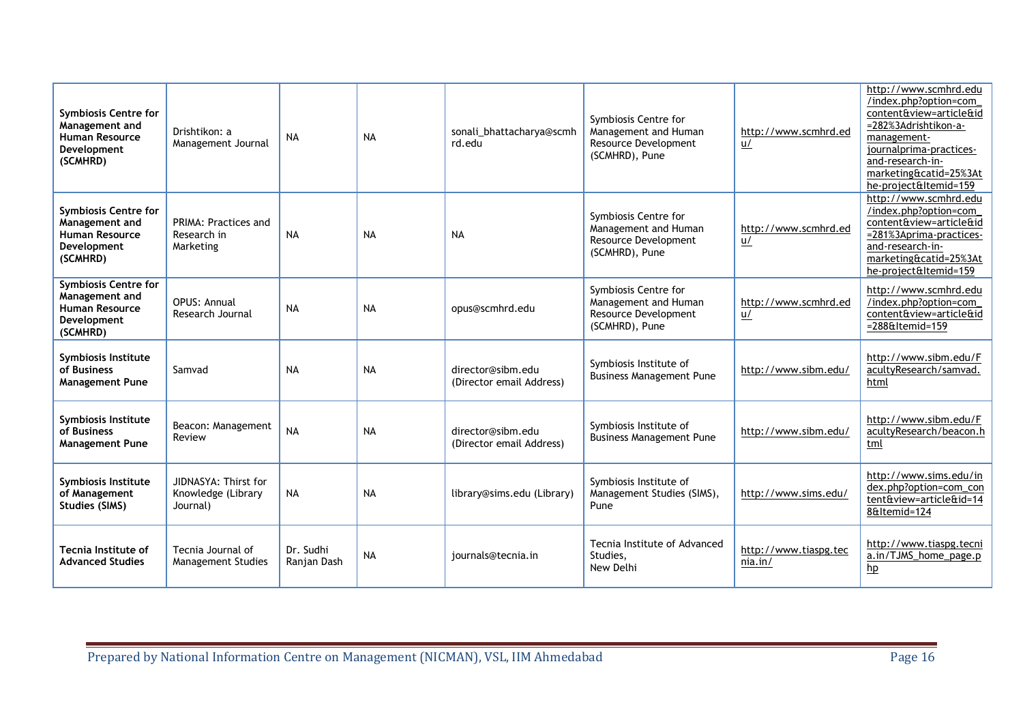| <b>Symbiosis Centre for</b><br>Management and<br><b>Human Resource</b><br>Development<br>(SCMHRD) | Drishtikon: a<br>Management Journal                    | <b>NA</b>                | <b>NA</b> | sonali_bhattacharya@scmh<br>rd.edu            | Symbiosis Centre for<br>Management and Human<br>Resource Development<br>(SCMHRD), Pune | http://www.scmhrd.ed<br>$u$      | http://www.scmhrd.edu<br>/index.php?option=com<br>content&view=article&id<br>=282%3Adrishtikon-a-<br>management-<br>journalprima-practices-<br>and-research-in-<br>marketing&catid=25%3At<br>he-project&Itemid=159 |
|---------------------------------------------------------------------------------------------------|--------------------------------------------------------|--------------------------|-----------|-----------------------------------------------|----------------------------------------------------------------------------------------|----------------------------------|--------------------------------------------------------------------------------------------------------------------------------------------------------------------------------------------------------------------|
| <b>Symbiosis Centre for</b><br>Management and<br><b>Human Resource</b><br>Development<br>(SCMHRD) | PRIMA: Practices and<br>Research in<br>Marketing       | <b>NA</b>                | <b>NA</b> | <b>NA</b>                                     | Symbiosis Centre for<br>Management and Human<br>Resource Development<br>(SCMHRD), Pune | http://www.scmhrd.ed<br>$u$      | http://www.scmhrd.edu<br>/index.php?option=com<br>content&view=article&id<br>=281%3Aprima-practices-<br>and-research-in-<br>marketing&catid=25%3At<br>he-project&Itemid=159                                        |
| <b>Symbiosis Centre for</b><br>Management and<br><b>Human Resource</b><br>Development<br>(SCMHRD) | <b>OPUS: Annual</b><br>Research Journal                | <b>NA</b>                | <b>NA</b> | opus@scmhrd.edu                               | Symbiosis Centre for<br>Management and Human<br>Resource Development<br>(SCMHRD), Pune | http://www.scmhrd.ed<br>u/       | http://www.scmhrd.edu<br>/index.php?option=com<br>content&view=article&id<br>$=288E$ ltemid $=159$                                                                                                                 |
| Symbiosis Institute<br>of Business<br><b>Management Pune</b>                                      | Samvad                                                 | <b>NA</b>                | <b>NA</b> | director@sibm.edu<br>(Director email Address) | Symbiosis Institute of<br><b>Business Management Pune</b>                              | http://www.sibm.edu/             | http://www.sibm.edu/F<br>acultyResearch/samvad.<br>html                                                                                                                                                            |
| Symbiosis Institute<br>of Business<br><b>Management Pune</b>                                      | Beacon: Management<br>Review                           | <b>NA</b>                | <b>NA</b> | director@sibm.edu<br>(Director email Address) | Symbiosis Institute of<br><b>Business Management Pune</b>                              | http://www.sibm.edu/             | http://www.sibm.edu/F<br>acultyResearch/beacon.h<br>tml                                                                                                                                                            |
| Symbiosis Institute<br>of Management<br>Studies (SIMS)                                            | JIDNASYA: Thirst for<br>Knowledge (Library<br>Journal) | <b>NA</b>                | <b>NA</b> | library@sims.edu (Library)                    | Symbiosis Institute of<br>Management Studies (SIMS),<br>Pune                           | http://www.sims.edu/             | http://www.sims.edu/in<br>dex.php?option=com_con<br>tent&view=article&id=14<br>8&Itemid=124                                                                                                                        |
| <b>Tecnia Institute of</b><br><b>Advanced Studies</b>                                             | Tecnia Journal of<br><b>Management Studies</b>         | Dr. Sudhi<br>Ranjan Dash | <b>NA</b> | journals@tecnia.in                            | Tecnia Institute of Advanced<br>Studies.<br>New Delhi                                  | http://www.tiaspg.tec<br>nia.in/ | http://www.tiaspg.tecni<br>a.in/TJMS home page.p<br>hp                                                                                                                                                             |